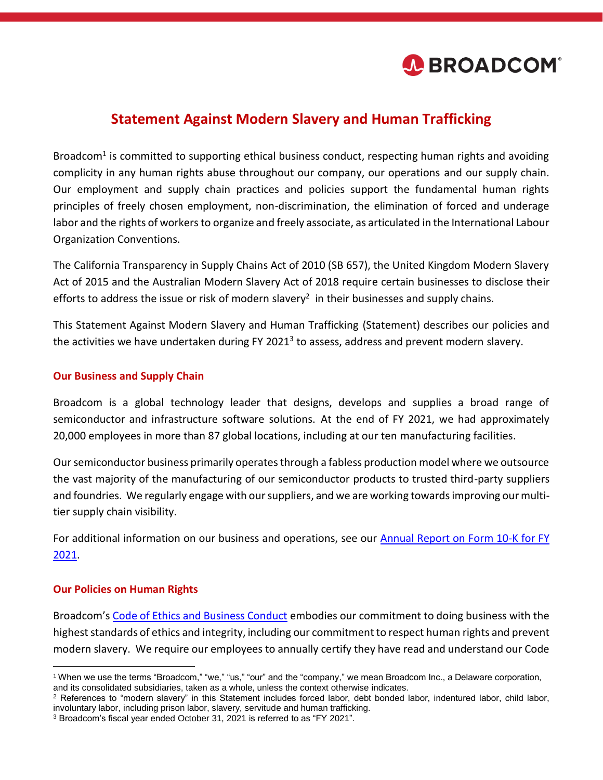

# **Statement Against Modern Slavery and Human Trafficking**

Broadcom<sup>1</sup> is committed to supporting ethical business conduct, respecting human rights and avoiding complicity in any human rights abuse throughout our company, our operations and our supply chain. Our employment and supply chain practices and policies support the fundamental human rights principles of freely chosen employment, non-discrimination, the elimination of forced and underage labor and the rights of workers to organize and freely associate, as articulated in the International Labour Organization Conventions.

The California Transparency in Supply Chains Act of 2010 (SB 657), the United Kingdom Modern Slavery Act of 2015 and the Australian Modern Slavery Act of 2018 require certain businesses to disclose their efforts to address the issue or risk of modern slavery<sup>2</sup> in their businesses and supply chains.

This Statement Against Modern Slavery and Human Trafficking (Statement) describes our policies and the activities we have undertaken during FY 2021<sup>3</sup> to assess, address and prevent modern slavery.

#### **Our Business and Supply Chain**

Broadcom is a global technology leader that designs, develops and supplies a broad range of semiconductor and infrastructure software solutions. At the end of FY 2021, we had approximately 20,000 employees in more than 87 global locations, including at our ten manufacturing facilities.

Our semiconductor business primarily operates through a fabless production model where we outsource the vast majority of the manufacturing of our semiconductor products to trusted third-party suppliers and foundries. We regularly engage with our suppliers, and we are working towards improving our multitier supply chain visibility.

For additional information on our business and operations, see our [Annual Report on Form 10-K for FY](https://investors.broadcom.com/financial-information/annual-reports)  [2021.](https://investors.broadcom.com/financial-information/annual-reports)

#### **Our Policies on Human Rights**

Broadcom's [Code of Ethics and Business Conduct](http://investors.broadcom.com/phoenix.zhtml?c=203541&p=irol-govhighlights) embodies our commitment to doing business with the highest standards of ethics and integrity, including our commitment to respect human rights and prevent modern slavery. We require our employees to annually certify they have read and understand our Code

 $\overline{a}$ <sup>1</sup> When we use the terms "Broadcom," "we," "us," "our" and the "company," we mean Broadcom Inc., a Delaware corporation, and its consolidated subsidiaries, taken as a whole, unless the context otherwise indicates.

<sup>&</sup>lt;sup>2</sup> References to "modern slavery" in this Statement includes forced labor, debt bonded labor, indentured labor, child labor, involuntary labor, including prison labor, slavery, servitude and human trafficking.

<sup>3</sup> Broadcom's fiscal year ended October 31, 2021 is referred to as "FY 2021".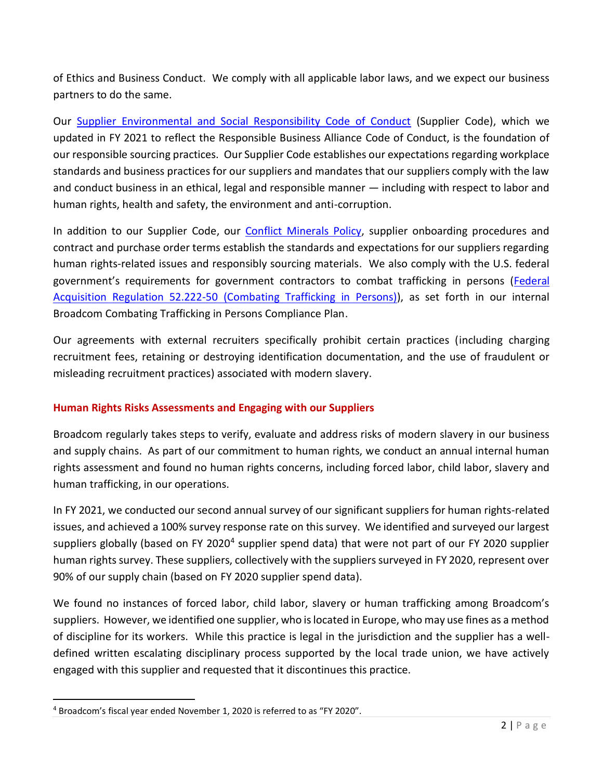of Ethics and Business Conduct. We comply with all applicable labor laws, and we expect our business partners to do the same.

Our [Supplier Environmental and Social Responsibility Code of Conduct](https://www.broadcom.com/company/citizenship/supplier-responsibility) (Supplier Code), which we updated in FY 2021 to reflect the Responsible Business Alliance Code of Conduct, is the foundation of our responsible sourcing practices. Our Supplier Code establishes our expectations regarding workplace standards and business practices for our suppliers and mandates that our suppliers comply with the law and conduct business in an ethical, legal and responsible manner — including with respect to labor and human rights, health and safety, the environment and anti-corruption.

In addition to our Supplier Code, our [Conflict Minerals Policy,](https://docs.broadcom.com/doc/3208111) supplier onboarding procedures and contract and purchase order terms establish the standards and expectations for our suppliers regarding human rights-related issues and responsibly sourcing materials. We also comply with the U.S. federal government's requirements for government contractors to combat trafficking in persons [\(Federal](https://www.acquisition.gov/far/52.222-50)  [Acquisition Regulation 52.222-50 \(Combating Trafficking in Persons\)\)](https://www.acquisition.gov/far/52.222-50), as set forth in our internal Broadcom Combating Trafficking in Persons Compliance Plan.

Our agreements with external recruiters specifically prohibit certain practices (including charging recruitment fees, retaining or destroying identification documentation, and the use of fraudulent or misleading recruitment practices) associated with modern slavery.

## **Human Rights Risks Assessments and Engaging with our Suppliers**

Broadcom regularly takes steps to verify, evaluate and address risks of modern slavery in our business and supply chains. As part of our commitment to human rights, we conduct an annual internal human rights assessment and found no human rights concerns, including forced labor, child labor, slavery and human trafficking, in our operations.

In FY 2021, we conducted our second annual survey of our significant suppliers for human rights-related issues, and achieved a 100% survey response rate on this survey. We identified and surveyed our largest suppliers globally (based on FY 2020<sup>4</sup> supplier spend data) that were not part of our FY 2020 supplier human rights survey. These suppliers, collectively with the suppliers surveyed in FY 2020, represent over 90% of our supply chain (based on FY 2020 supplier spend data).

We found no instances of forced labor, child labor, slavery or human trafficking among Broadcom's suppliers. However, we identified one supplier, who is located in Europe, who may use fines as a method of discipline for its workers. While this practice is legal in the jurisdiction and the supplier has a welldefined written escalating disciplinary process supported by the local trade union, we have actively engaged with this supplier and requested that it discontinues this practice.

 $\overline{a}$ 

<sup>4</sup> Broadcom's fiscal year ended November 1, 2020 is referred to as "FY 2020".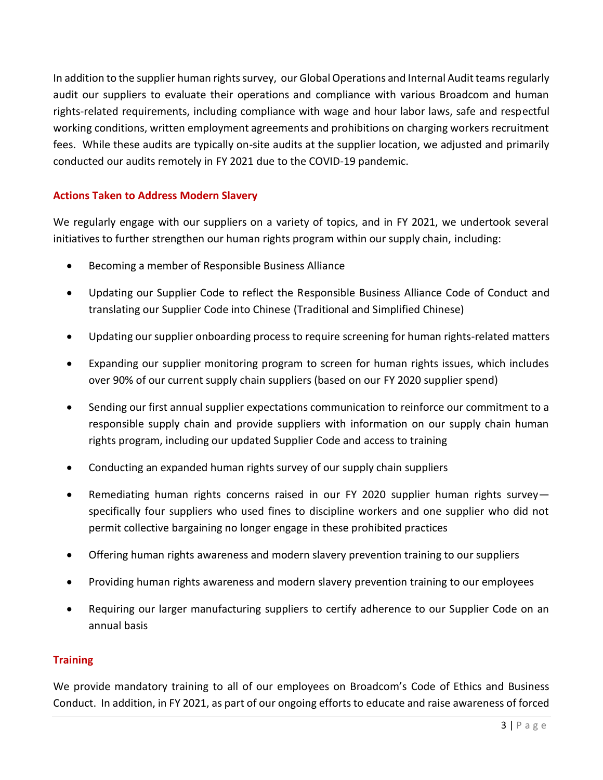In addition to the supplier human rights survey, our Global Operations and Internal Audit teams regularly audit our suppliers to evaluate their operations and compliance with various Broadcom and human rights-related requirements, including compliance with wage and hour labor laws, safe and respectful working conditions, written employment agreements and prohibitions on charging workers recruitment fees. While these audits are typically on-site audits at the supplier location, we adjusted and primarily conducted our audits remotely in FY 2021 due to the COVID-19 pandemic.

## **Actions Taken to Address Modern Slavery**

We regularly engage with our suppliers on a variety of topics, and in FY 2021, we undertook several initiatives to further strengthen our human rights program within our supply chain, including:

- Becoming a member of Responsible Business Alliance
- Updating our Supplier Code to reflect the Responsible Business Alliance Code of Conduct and translating our Supplier Code into Chinese (Traditional and Simplified Chinese)
- Updating our supplier onboarding process to require screening for human rights-related matters
- Expanding our supplier monitoring program to screen for human rights issues, which includes over 90% of our current supply chain suppliers (based on our FY 2020 supplier spend)
- Sending our first annual supplier expectations communication to reinforce our commitment to a responsible supply chain and provide suppliers with information on our supply chain human rights program, including our updated Supplier Code and access to training
- Conducting an expanded human rights survey of our supply chain suppliers
- Remediating human rights concerns raised in our FY 2020 supplier human rights survey specifically four suppliers who used fines to discipline workers and one supplier who did not permit collective bargaining no longer engage in these prohibited practices
- Offering human rights awareness and modern slavery prevention training to our suppliers
- Providing human rights awareness and modern slavery prevention training to our employees
- Requiring our larger manufacturing suppliers to certify adherence to our Supplier Code on an annual basis

#### **Training**

We provide mandatory training to all of our employees on Broadcom's Code of Ethics and Business Conduct. In addition, in FY 2021, as part of our ongoing efforts to educate and raise awareness of forced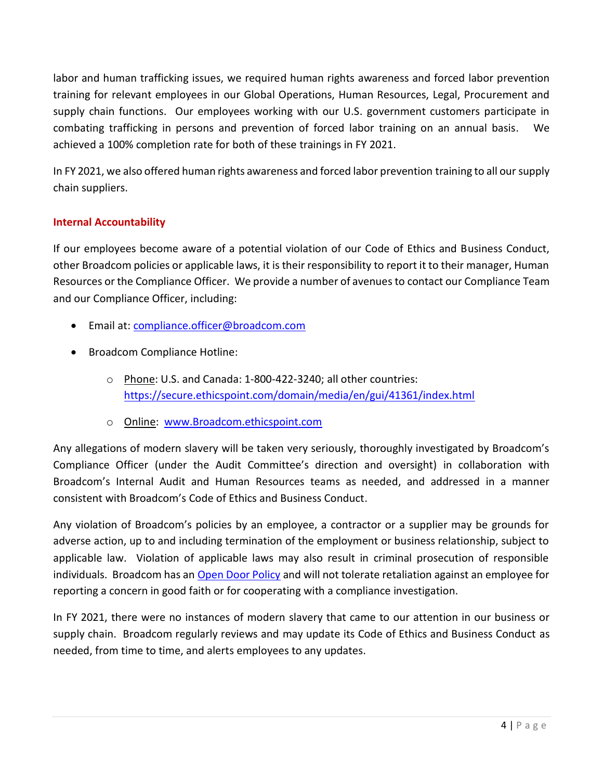labor and human trafficking issues, we required human rights awareness and forced labor prevention training for relevant employees in our Global Operations, Human Resources, Legal, Procurement and supply chain functions. Our employees working with our U.S. government customers participate in combating trafficking in persons and prevention of forced labor training on an annual basis. We achieved a 100% completion rate for both of these trainings in FY 2021.

In FY 2021, we also offered human rights awareness and forced labor prevention training to all our supply chain suppliers.

## **Internal Accountability**

If our employees become aware of a potential violation of our Code of Ethics and Business Conduct, other Broadcom policies or applicable laws, it is their responsibility to report it to their manager, Human Resources or the Compliance Officer. We provide a number of avenues to contact our Compliance Team and our Compliance Officer, including:

- Email at: [compliance.officer@broadcom.com](mailto:Compliance.Officer@Broadcom.com)
- Broadcom Compliance Hotline:
	- o Phone: U.S. and Canada: 1-800-422-3240; all other countries: <https://secure.ethicspoint.com/domain/media/en/gui/41361/index.html>
	- o Online: [www.Broadcom.ethicspoint.com](http://www.broadcom.ethicspoint.com/)

Any allegations of modern slavery will be taken very seriously, thoroughly investigated by Broadcom's Compliance Officer (under the Audit Committee's direction and oversight) in collaboration with Broadcom's Internal Audit and Human Resources teams as needed, and addressed in a manner consistent with Broadcom's Code of Ethics and Business Conduct.

Any violation of Broadcom's policies by an employee, a contractor or a supplier may be grounds for adverse action, up to and including termination of the employment or business relationship, subject to applicable law. Violation of applicable laws may also result in criminal prosecution of responsible individuals. Broadcom has an [Open Door Policy](https://investors.broadcom.com/static-files/df30d3b0-dcfc-40ef-bfa2-f1f4e74ebb29) and will not tolerate retaliation against an employee for reporting a concern in good faith or for cooperating with a compliance investigation.

In FY 2021, there were no instances of modern slavery that came to our attention in our business or supply chain. Broadcom regularly reviews and may update its Code of Ethics and Business Conduct as needed, from time to time, and alerts employees to any updates.